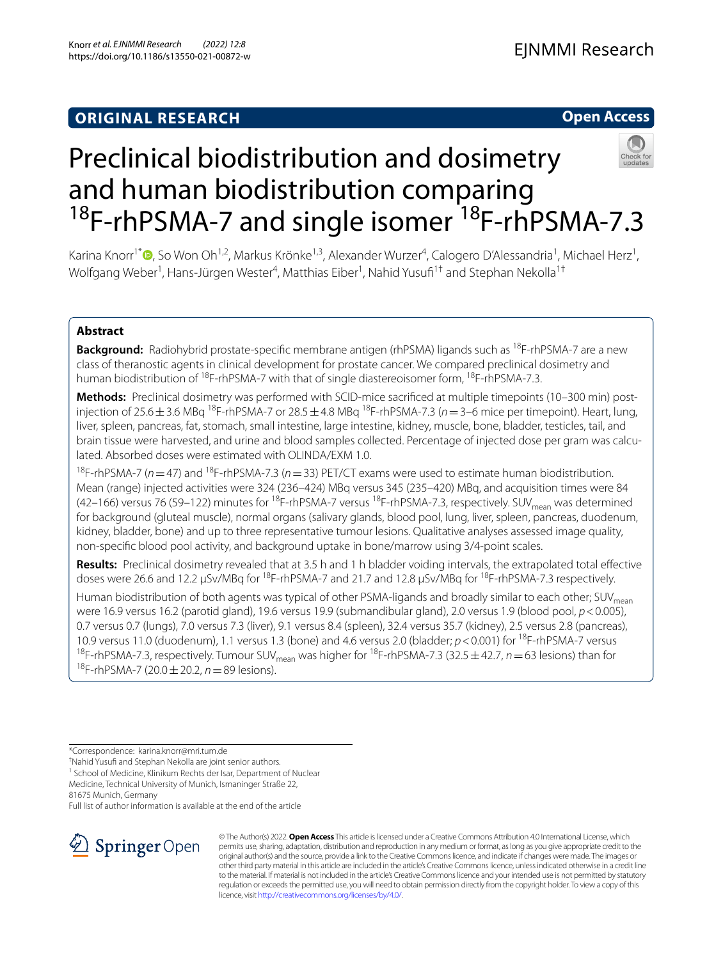# **Open Access**



# Preclinical biodistribution and dosimetry and human biodistribution comparing <sup>18</sup>F-rhPSMA-7 and single isomer<sup>18</sup>F-rhPSMA-7.3

Karina Knorr<sup>1\*</sup> <sup>(D</sup>[,](http://orcid.org/0000-0003-2022-4805) So Won Oh<sup>1,2</sup>, Markus Krönke<sup>1,3</sup>, Alexander Wurzer<sup>4</sup>, Calogero D'Alessandria<sup>1</sup>, Michael Herz<sup>1</sup>, Wolfgang Weber<sup>1</sup>, Hans-Jürgen Wester<sup>4</sup>, Matthias Eiber<sup>1</sup>, Nahid Yusufi<sup>1†</sup> and Stephan Nekolla<sup>1†</sup>

# **Abstract**

**Background:** Radiohybrid prostate-specific membrane antigen (rhPSMA) ligands such as <sup>18</sup>F-rhPSMA-7 are a new class of theranostic agents in clinical development for prostate cancer. We compared preclinical dosimetry and human biodistribution of <sup>18</sup>F-rhPSMA-7 with that of single diastereoisomer form, <sup>18</sup>F-rhPSMA-7.3.

**Methods:** Preclinical dosimetry was performed with SCID-mice sacrifced at multiple timepoints (10–300 min) postinjection of 25.6  $\pm$  3.6 MBq <sup>18</sup>F-rhPSMA-7 or 28.5  $\pm$  4.8 MBq <sup>18</sup>F-rhPSMA-7.3 ( $n=3$ –6 mice per timepoint). Heart, lung, liver, spleen, pancreas, fat, stomach, small intestine, large intestine, kidney, muscle, bone, bladder, testicles, tail, and brain tissue were harvested, and urine and blood samples collected. Percentage of injected dose per gram was calculated. Absorbed doses were estimated with OLINDA/EXM 1.0.

<sup>18</sup>F-rhPSMA-7 (*n* = 47) and <sup>18</sup>F-rhPSMA-7.3 (*n* = 33) PET/CT exams were used to estimate human biodistribution. Mean (range) injected activities were 324 (236–424) MBq versus 345 (235–420) MBq, and acquisition times were 84 (42–166) versus 76 (59–122) minutes for <sup>18</sup>F-rhPSMA-7 versus <sup>18</sup>F-rhPSMA-7.3, respectively. SUV<sub>mean</sub> was determined for background (gluteal muscle), normal organs (salivary glands, blood pool, lung, liver, spleen, pancreas, duodenum, kidney, bladder, bone) and up to three representative tumour lesions. Qualitative analyses assessed image quality, non-specifc blood pool activity, and background uptake in bone/marrow using 3/4-point scales.

**Results:** Preclinical dosimetry revealed that at 3.5 h and 1 h bladder voiding intervals, the extrapolated total efective doses were 26.6 and 12.2 µSv/MBq for <sup>18</sup>F-rhPSMA-7 and 21.7 and 12.8 µSv/MBq for <sup>18</sup>F-rhPSMA-7.3 respectively.

Human biodistribution of both agents was typical of other PSMA-ligands and broadly similar to each other; SUV<sub>mean</sub> were 16.9 versus 16.2 (parotid gland), 19.6 versus 19.9 (submandibular gland), 2.0 versus 1.9 (blood pool, *p*<0.005), 0.7 versus 0.7 (lungs), 7.0 versus 7.3 (liver), 9.1 versus 8.4 (spleen), 32.4 versus 35.7 (kidney), 2.5 versus 2.8 (pancreas), 10.9 versus 11.0 (duodenum), 1.1 versus 1.3 (bone) and 4.6 versus 2.0 (bladder; *p*<0.001) for 18F-rhPSMA-7 versus <sup>18</sup>F-rhPSMA-7.3, respectively. Tumour SUV<sub>mean</sub> was higher for <sup>18</sup>F-rhPSMA-7.3 (32.5 ± 42.7, *n* = 63 lesions) than for 18F-rhPSMA-7 (20.0±20.2, *n*=89 lesions).

† Nahid Yusuf and Stephan Nekolla are joint senior authors.

81675 Munich, Germany

Full list of author information is available at the end of the article



© The Author(s) 2022. **Open Access** This article is licensed under a Creative Commons Attribution 4.0 International License, which permits use, sharing, adaptation, distribution and reproduction in any medium or format, as long as you give appropriate credit to the original author(s) and the source, provide a link to the Creative Commons licence, and indicate if changes were made. The images or other third party material in this article are included in the article's Creative Commons licence, unless indicated otherwise in a credit line to the material. If material is not included in the article's Creative Commons licence and your intended use is not permitted by statutory regulation or exceeds the permitted use, you will need to obtain permission directly from the copyright holder. To view a copy of this licence, visit [http://creativecommons.org/licenses/by/4.0/.](http://creativecommons.org/licenses/by/4.0/)

<sup>\*</sup>Correspondence: karina.knorr@mri.tum.de

<sup>&</sup>lt;sup>1</sup> School of Medicine, Klinikum Rechts der Isar, Department of Nuclear Medicine, Technical University of Munich, Ismaninger Straße 22,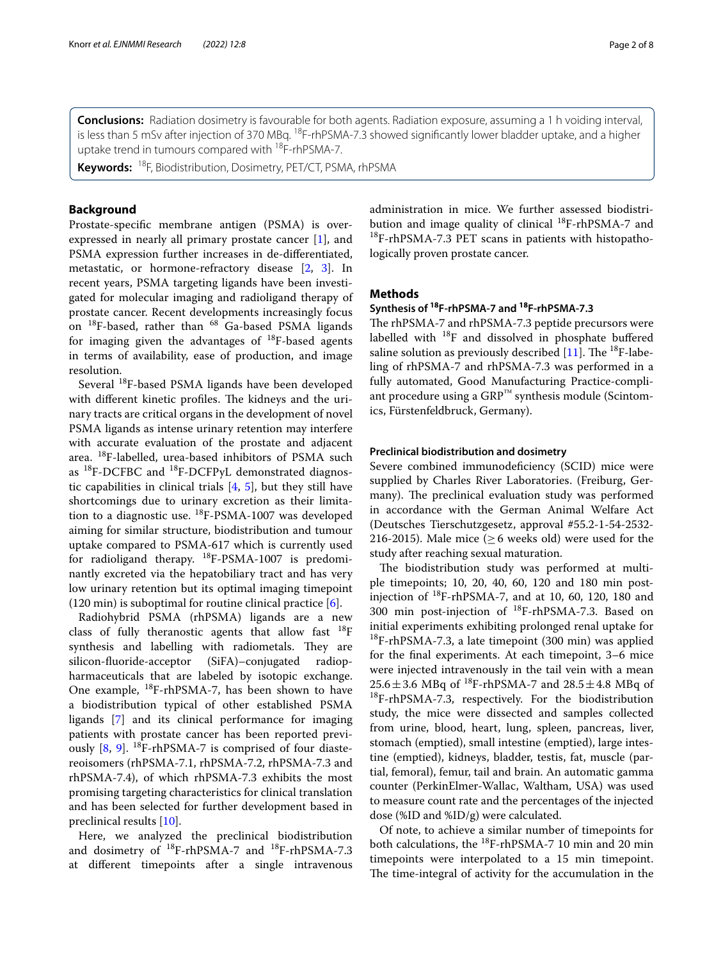**Conclusions:** Radiation dosimetry is favourable for both agents. Radiation exposure, assuming a 1 h voiding interval, is less than 5 mSv after injection of 370 MBq. <sup>18</sup>F-rhPSMA-7.3 showed significantly lower bladder uptake, and a higher uptake trend in tumours compared with <sup>18</sup>F-rhPSMA-7.

**Keywords:** 18F, Biodistribution, Dosimetry, PET/CT, PSMA, rhPSMA

## **Background**

Prostate-specifc membrane antigen (PSMA) is overexpressed in nearly all primary prostate cancer [\[1](#page-6-0)], and PSMA expression further increases in de-diferentiated, metastatic, or hormone-refractory disease [\[2](#page-6-1), [3\]](#page-7-0). In recent years, PSMA targeting ligands have been investigated for molecular imaging and radioligand therapy of prostate cancer. Recent developments increasingly focus on  $^{18}$ F-based, rather than  $^{68}$  Ga-based PSMA ligands for imaging given the advantages of  $^{18}$ F-based agents in terms of availability, ease of production, and image resolution.

Several 18F-based PSMA ligands have been developed with different kinetic profiles. The kidneys and the urinary tracts are critical organs in the development of novel PSMA ligands as intense urinary retention may interfere with accurate evaluation of the prostate and adjacent area. 18F-labelled, urea-based inhibitors of PSMA such as 18F-DCFBC and 18F-DCFPyL demonstrated diagnostic capabilities in clinical trials [[4,](#page-7-1) [5](#page-7-2)], but they still have shortcomings due to urinary excretion as their limitation to a diagnostic use. 18F-PSMA-1007 was developed aiming for similar structure, biodistribution and tumour uptake compared to PSMA-617 which is currently used for radioligand therapy.  $^{18}$ F-PSMA-1007 is predominantly excreted via the hepatobiliary tract and has very low urinary retention but its optimal imaging timepoint (120 min) is suboptimal for routine clinical practice  $[6]$  $[6]$ .

Radiohybrid PSMA (rhPSMA) ligands are a new class of fully theranostic agents that allow fast  $18F$ synthesis and labelling with radiometals. They are silicon-fuoride-acceptor (SiFA)–conjugated radiopharmaceuticals that are labeled by isotopic exchange. One example, 18F-rhPSMA-7, has been shown to have a biodistribution typical of other established PSMA ligands [[7\]](#page-7-4) and its clinical performance for imaging patients with prostate cancer has been reported previously  $[8, 9]$  $[8, 9]$  $[8, 9]$  $[8, 9]$ . <sup>18</sup>F-rhPSMA-7 is comprised of four diastereoisomers (rhPSMA-7.1, rhPSMA-7.2, rhPSMA-7.3 and rhPSMA-7.4), of which rhPSMA-7.3 exhibits the most promising targeting characteristics for clinical translation and has been selected for further development based in preclinical results [\[10](#page-7-7)].

Here, we analyzed the preclinical biodistribution and dosimetry of  $^{18}F$ -rhPSMA-7 and  $^{18}F$ -rhPSMA-7.3 at diferent timepoints after a single intravenous administration in mice. We further assessed biodistribution and image quality of clinical <sup>18</sup>F-rhPSMA-7 and  $^{18}$ F-rhPSMA-7.3 PET scans in patients with histopathologically proven prostate cancer.

## **Methods**

## **Synthesis of 18F‑rhPSMA‑7 and 18F‑rhPSMA‑7.3**

The rhPSMA-7 and rhPSMA-7.3 peptide precursors were labelled with 18F and dissolved in phosphate bufered saline solution as previously described  $[11]$ . The <sup>18</sup>F-labeling of rhPSMA-7 and rhPSMA-7.3 was performed in a fully automated, Good Manufacturing Practice-compliant procedure using a GRP™ synthesis module (Scintomics, Fürstenfeldbruck, Germany).

## **Preclinical biodistribution and dosimetry**

Severe combined immunodeficiency (SCID) mice were supplied by Charles River Laboratories. (Freiburg, Germany). The preclinical evaluation study was performed in accordance with the German Animal Welfare Act (Deutsches Tierschutzgesetz, approval #55.2-1-54-2532- 216-2015). Male mice ( $\geq$  6 weeks old) were used for the study after reaching sexual maturation.

The biodistribution study was performed at multiple timepoints; 10, 20, 40, 60, 120 and 180 min postinjection of  $^{18}F$ -rhPSMA-7, and at 10, 60, 120, 180 and 300 min post-injection of 18F-rhPSMA-7.3. Based on initial experiments exhibiting prolonged renal uptake for <sup>18</sup>F-rhPSMA-7.3, a late timepoint (300 min) was applied for the fnal experiments. At each timepoint, 3–6 mice were injected intravenously in the tail vein with a mean  $25.6 \pm 3.6$  MBq of <sup>18</sup>F-rhPSMA-7 and  $28.5 \pm 4.8$  MBq of  $^{18}$ F-rhPSMA-7.3, respectively. For the biodistribution study, the mice were dissected and samples collected from urine, blood, heart, lung, spleen, pancreas, liver, stomach (emptied), small intestine (emptied), large intestine (emptied), kidneys, bladder, testis, fat, muscle (partial, femoral), femur, tail and brain. An automatic gamma counter (PerkinElmer-Wallac, Waltham, USA) was used to measure count rate and the percentages of the injected dose (%ID and %ID/g) were calculated.

Of note, to achieve a similar number of timepoints for both calculations, the  $^{18}$ F-rhPSMA-7 10 min and 20 min timepoints were interpolated to a 15 min timepoint. The time-integral of activity for the accumulation in the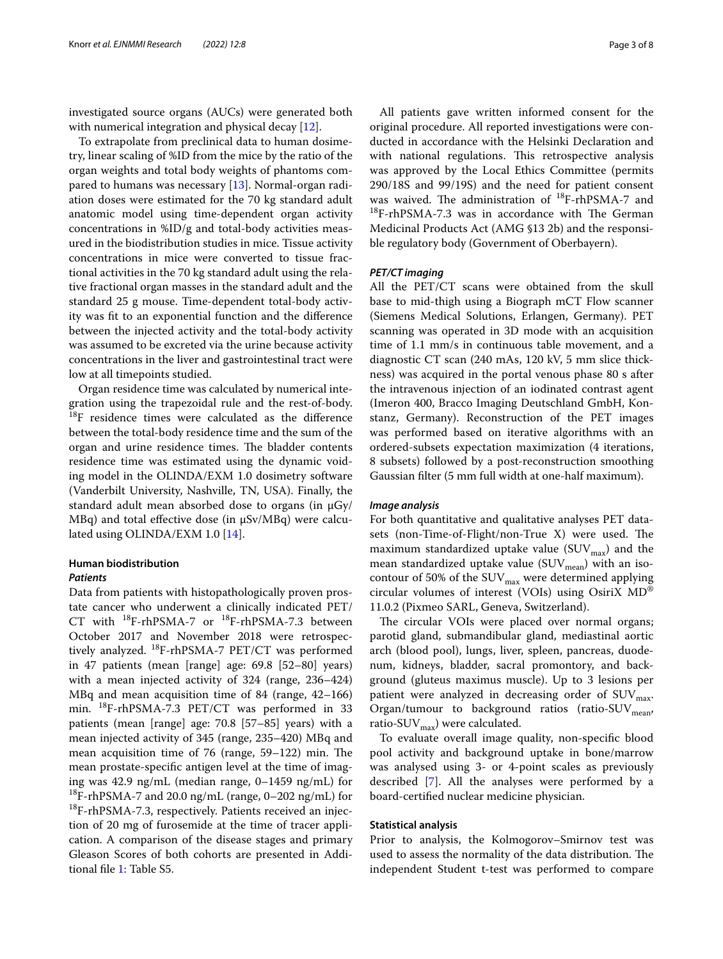investigated source organs (AUCs) were generated both with numerical integration and physical decay [[12\]](#page-7-9).

To extrapolate from preclinical data to human dosimetry, linear scaling of %ID from the mice by the ratio of the organ weights and total body weights of phantoms compared to humans was necessary [[13\]](#page-7-10). Normal-organ radiation doses were estimated for the 70 kg standard adult anatomic model using time-dependent organ activity concentrations in %ID/g and total-body activities measured in the biodistribution studies in mice. Tissue activity concentrations in mice were converted to tissue fractional activities in the 70 kg standard adult using the relative fractional organ masses in the standard adult and the standard 25 g mouse. Time-dependent total-body activity was ft to an exponential function and the diference between the injected activity and the total-body activity was assumed to be excreted via the urine because activity concentrations in the liver and gastrointestinal tract were low at all timepoints studied.

Organ residence time was calculated by numerical integration using the trapezoidal rule and the rest-of-body. <sup>18</sup>F residence times were calculated as the difference between the total-body residence time and the sum of the organ and urine residence times. The bladder contents residence time was estimated using the dynamic voiding model in the OLINDA/EXM 1.0 dosimetry software (Vanderbilt University, Nashville, TN, USA). Finally, the standard adult mean absorbed dose to organs (in  $\mu$ Gy/  $MBq$ ) and total effective dose (in  $\mu$ Sv/MBq) were calculated using OLINDA/EXM 1.0 [[14](#page-7-11)].

## **Human biodistribution**

### *Patients*

Data from patients with histopathologically proven prostate cancer who underwent a clinically indicated PET/ CT with 18F-rhPSMA-7 or 18F-rhPSMA-7.3 between October 2017 and November 2018 were retrospectively analyzed. 18F-rhPSMA-7 PET/CT was performed in 47 patients (mean [range] age: 69.8 [52–80] years) with a mean injected activity of 324 (range, 236–424) MBq and mean acquisition time of 84 (range, 42–166) min. 18F-rhPSMA-7.3 PET/CT was performed in 33 patients (mean [range] age: 70.8 [57–85] years) with a mean injected activity of 345 (range, 235–420) MBq and mean acquisition time of  $76$  (range,  $59-122$ ) min. The mean prostate-specifc antigen level at the time of imaging was 42.9 ng/mL (median range, 0–1459 ng/mL) for <sup>18</sup>F-rhPSMA-7 and 20.0 ng/mL (range,  $0-202$  ng/mL) for <sup>18</sup>F-rhPSMA-7.3, respectively. Patients received an injection of 20 mg of furosemide at the time of tracer application. A comparison of the disease stages and primary Gleason Scores of both cohorts are presented in Additional fle [1](#page-6-2): Table S5.

All patients gave written informed consent for the original procedure. All reported investigations were conducted in accordance with the Helsinki Declaration and with national regulations. This retrospective analysis was approved by the Local Ethics Committee (permits 290/18S and 99/19S) and the need for patient consent was waived. The administration of  $^{18}F$ -rhPSMA-7 and  $^{18}$ F-rhPSMA-7.3 was in accordance with The German Medicinal Products Act (AMG §13 2b) and the responsible regulatory body (Government of Oberbayern).

### *PET/CT imaging*

All the PET/CT scans were obtained from the skull base to mid-thigh using a Biograph mCT Flow scanner (Siemens Medical Solutions, Erlangen, Germany). PET scanning was operated in 3D mode with an acquisition time of 1.1 mm/s in continuous table movement, and a diagnostic CT scan (240 mAs, 120 kV, 5 mm slice thickness) was acquired in the portal venous phase 80 s after the intravenous injection of an iodinated contrast agent (Imeron 400, Bracco Imaging Deutschland GmbH, Konstanz, Germany). Reconstruction of the PET images was performed based on iterative algorithms with an ordered-subsets expectation maximization (4 iterations, 8 subsets) followed by a post-reconstruction smoothing Gaussian flter (5 mm full width at one-half maximum).

#### *Image analysis*

For both quantitative and qualitative analyses PET datasets (non-Time-of-Flight/non-True X) were used. The maximum standardized uptake value  $(SUV_{max})$  and the mean standardized uptake value ( $\text{SUV}_{\text{mean}}$ ) with an isocontour of 50% of the  $\text{SUV}_{\text{max}}$  were determined applying circular volumes of interest (VOIs) using OsiriX MD® 11.0.2 (Pixmeo SARL, Geneva, Switzerland).

The circular VOIs were placed over normal organs; parotid gland, submandibular gland, mediastinal aortic arch (blood pool), lungs, liver, spleen, pancreas, duodenum, kidneys, bladder, sacral promontory, and background (gluteus maximus muscle). Up to 3 lesions per patient were analyzed in decreasing order of  $\text{SUV}_{\text{max}}$ . Organ/tumour to background ratios (ratio-SUV $_{\text{mean}}$ , ratio-SUV $_{\text{max}}$ ) were calculated.

To evaluate overall image quality, non-specifc blood pool activity and background uptake in bone/marrow was analysed using 3- or 4-point scales as previously described [\[7](#page-7-4)]. All the analyses were performed by a board-certifed nuclear medicine physician.

### **Statistical analysis**

Prior to analysis, the Kolmogorov–Smirnov test was used to assess the normality of the data distribution. The independent Student t-test was performed to compare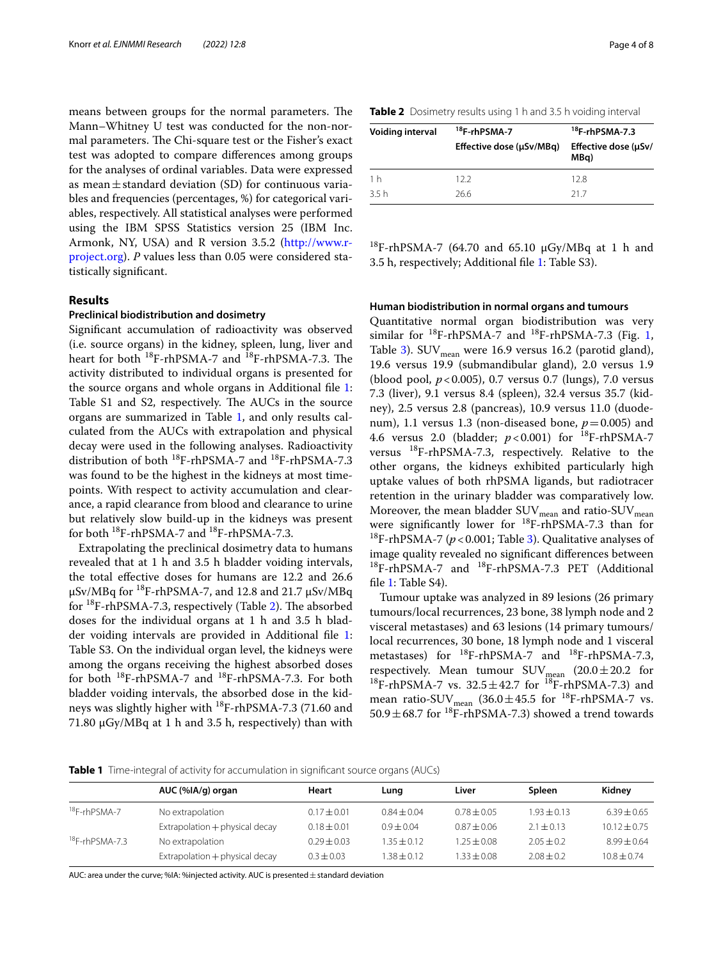means between groups for the normal parameters. The Mann–Whitney U test was conducted for the non-normal parameters. The Chi-square test or the Fisher's exact test was adopted to compare diferences among groups for the analyses of ordinal variables. Data were expressed as mean $\pm$ standard deviation (SD) for continuous variables and frequencies (percentages, %) for categorical variables, respectively. All statistical analyses were performed using the IBM SPSS Statistics version 25 (IBM Inc. Armonk, NY, USA) and R version 3.5.2 [\(http://www.r](http://www.r-project.org)[project.org\)](http://www.r-project.org). *P* values less than 0.05 were considered statistically signifcant.

## **Results**

#### **Preclinical biodistribution and dosimetry**

Signifcant accumulation of radioactivity was observed (i.e. source organs) in the kidney, spleen, lung, liver and heart for both  $^{18}$ F-rhPSMA-7 and  $^{18}$ F-rhPSMA-7.3. The activity distributed to individual organs is presented for the source organs and whole organs in Additional fle [1](#page-6-2): Table S1 and S2, respectively. The AUCs in the source organs are summarized in Table [1,](#page-3-0) and only results calculated from the AUCs with extrapolation and physical decay were used in the following analyses. Radioactivity distribution of both  $^{18}F$ -rhPSMA-7 and  $^{18}F$ -rhPSMA-7.3 was found to be the highest in the kidneys at most timepoints. With respect to activity accumulation and clearance, a rapid clearance from blood and clearance to urine but relatively slow build-up in the kidneys was present for both  $^{18}$ F-rhPSMA-7 and  $^{18}$ F-rhPSMA-7.3.

Extrapolating the preclinical dosimetry data to humans revealed that at 1 h and 3.5 h bladder voiding intervals, the total efective doses for humans are 12.2 and 26.6  $\mu$ Sv/MBq for <sup>18</sup>F-rhPSMA-7, and 12.8 and 21.7  $\mu$ Sv/MBq for  ${}^{18}F$ -rhPSMA-7.3, respectively (Table [2](#page-3-1)). The absorbed doses for the individual organs at 1 h and 3.5 h bladder voiding intervals are provided in Additional fle [1](#page-6-2): Table S3. On the individual organ level, the kidneys were among the organs receiving the highest absorbed doses for both 18F-rhPSMA-7 and 18F-rhPSMA-7.3. For both bladder voiding intervals, the absorbed dose in the kidneys was slightly higher with 18F-rhPSMA-7.3 (71.60 and 71.80  $\mu$ Gy/MBq at 1 h and 3.5 h, respectively) than with

<span id="page-3-1"></span>

| Table 2 Dosimetry results using 1 h and 3.5 h voiding interval |  |
|----------------------------------------------------------------|--|
|----------------------------------------------------------------|--|

| Voiding interval | <sup>18</sup> F-rhPSMA-7<br>Effective dose (µSv/MBq) | $18$ F-rhPSMA-7.3<br>Effective dose (µSv/<br>MBq) |
|------------------|------------------------------------------------------|---------------------------------------------------|
| 1 h              | 122                                                  | 128                                               |
| 35 h             | 266                                                  | 217                                               |

<sup>18</sup>F-rhPSMA-7 (64.70 and 65.10  $\mu$ Gy/MBq at 1 h and 3.5 h, respectively; Additional fle [1:](#page-6-2) Table S3).

## **Human biodistribution in normal organs and tumours**

Quantitative normal organ biodistribution was very similar for  $^{18}F$  $^{18}F$  $^{18}F$ -rhPSMA-7 and  $^{18}F$ -rhPSMA-7.3 (Fig. 1, Table [3](#page-4-1)).  $\text{SUV}_{\text{mean}}$  were 16.9 versus 16.2 (parotid gland), 19.6 versus 19.9 (submandibular gland), 2.0 versus 1.9 (blood pool, *p*<0.005), 0.7 versus 0.7 (lungs), 7.0 versus 7.3 (liver), 9.1 versus 8.4 (spleen), 32.4 versus 35.7 (kidney), 2.5 versus 2.8 (pancreas), 10.9 versus 11.0 (duodenum), 1.1 versus 1.3 (non-diseased bone,  $p = 0.005$ ) and 4.6 versus 2.0 (bladder; *p*<0.001) for 18F-rhPSMA-7 versus  $^{18}$ F-rhPSMA-7.3, respectively. Relative to the other organs, the kidneys exhibited particularly high uptake values of both rhPSMA ligands, but radiotracer retention in the urinary bladder was comparatively low. Moreover, the mean bladder  $\text{SUV}_{\text{mean}}$  and ratio- $\text{SUV}_{\text{mean}}$ were significantly lower for  $^{18}$ F-rhPSMA-7.3 than for  $^{18}$ F-rhPSMA-7 ( $p$  < 0.001; Table [3](#page-4-1)). Qualitative analyses of image quality revealed no signifcant diferences between <sup>18</sup>F-rhPSMA-7 and <sup>18</sup>F-rhPSMA-7.3 PET (Additional fle [1](#page-6-2): Table S4).

Tumour uptake was analyzed in 89 lesions (26 primary tumours/local recurrences, 23 bone, 38 lymph node and 2 visceral metastases) and 63 lesions (14 primary tumours/ local recurrences, 30 bone, 18 lymph node and 1 visceral metastases) for  $^{18}$ F-rhPSMA-7 and  $^{18}$ F-rhPSMA-7.3, respectively. Mean tumour  $\text{SUV}_{\text{mean}}$  (20.0 $\pm$ 20.2 for <sup>18</sup>F-rhPSMA-7 vs.  $32.5 \pm 42.7$  for <sup>18</sup>F-rhPSMA-7.3) and mean ratio-SUV<sub>mean</sub> (36.0 $\pm$ 45.5 for <sup>18</sup>F-rhPSMA-7 vs. 50.9 $\pm$ 68.7 for <sup>18</sup>F-rhPSMA-7.3) showed a trend towards

<span id="page-3-0"></span>**Table 1** Time-integral of activity for accumulation in significant source organs (AUCs)

|                          | AUC (%IA/g) organ              | Heart           | Lung          | Liver           | Spleen         | Kidney           |
|--------------------------|--------------------------------|-----------------|---------------|-----------------|----------------|------------------|
| <sup>18</sup> F-rhPSMA-7 | No extrapolation               | $0.17 + 0.01$   | $0.84 + 0.04$ | $0.78 \pm 0.05$ | $1.93 + 0.13$  | $6.39 + 0.65$    |
|                          | Extrapolation + physical decay | $0.18 + 0.01$   | $0.9 + 0.04$  | $0.87 \pm 0.06$ | $2.1 \pm 0.13$ | $10.12 \pm 0.75$ |
| $18F$ -rhPSMA-7.3        | No extrapolation               | $0.29 \pm 0.03$ | $1.35 + 0.12$ | $1.25 \pm 0.08$ | $2.05 + 0.2$   | $8.99 + 0.64$    |
|                          | Extrapolation + physical decay | $0.3 + 0.03$    | $.38 + 0.12$  | $1.33 + 0.08$   | $2.08 + 0.2$   | $10.8 + 0.74$    |

AUC: area under the curve; %IA: %injected activity. AUC is presented  $\pm$  standard deviation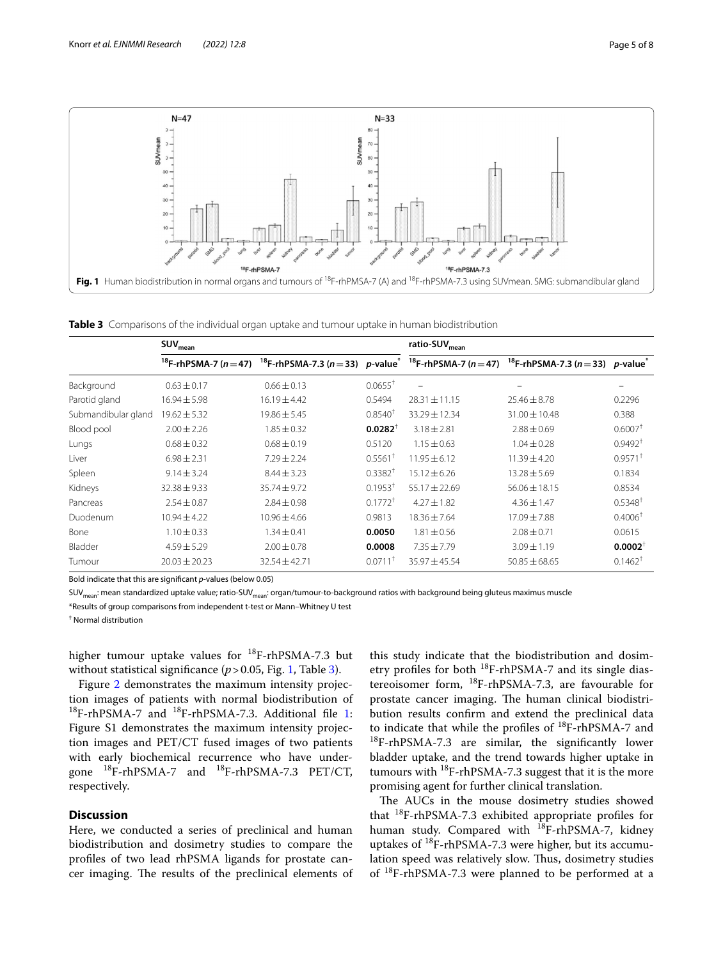

<span id="page-4-1"></span><span id="page-4-0"></span>**Table 3** Comparisons of the individual organ uptake and tumour uptake in human biodistribution

|                     | $SUV_{mean}$                          |                                                              |                       | ratio-SUV <sub>mean</sub> |                                                                                            |                       |  |
|---------------------|---------------------------------------|--------------------------------------------------------------|-----------------------|---------------------------|--------------------------------------------------------------------------------------------|-----------------------|--|
|                     | <sup>18</sup> F-rhPSMA-7 ( $n = 47$ ) | <sup>18</sup> F-rhPSMA-7.3 ( $n = 33$ ) p-value <sup>*</sup> |                       |                           | <sup>18</sup> F-rhPSMA-7 (n = 47) <sup>18</sup> F-rhPSMA-7.3 (n = 33) p-value <sup>*</sup> |                       |  |
| Background          | $0.63 \pm 0.17$                       | $0.66 \pm 0.13$                                              | $0.0655^+$            |                           |                                                                                            | -                     |  |
| Parotid gland       | $16.94 \pm 5.98$                      | $16.19 \pm 4.42$                                             | 0.5494                | $28.31 \pm 11.15$         | $25.46 \pm 8.78$                                                                           | 0.2296                |  |
| Submandibular gland | $19.62 \pm 5.32$                      | $19.86 \pm 5.45$                                             | $0.8540^{+}$          | $33.29 \pm 12.34$         | $31.00 \pm 10.48$                                                                          | 0.388                 |  |
| Blood pool          | $2.00 + 2.26$                         | $1.85 + 0.32$                                                | $0.0282^{\dagger}$    | $3.18 + 2.81$             | $7.88 + 0.69$                                                                              | $0.6007$ <sup>+</sup> |  |
| Lungs               | $0.68 \pm 0.32$                       | $0.68 \pm 0.19$                                              | 0.5120                | $1.15 \pm 0.63$           | $1.04 \pm 0.28$                                                                            | 0.9492 <sup>†</sup>   |  |
| Liver               | $6.98 \pm 2.31$                       | $7.29 \pm 2.24$                                              | $0.5561$ <sup>+</sup> | $11.95 \pm 6.12$          | $11.39 \pm 4.20$                                                                           | $0.9571$ <sup>+</sup> |  |
| Spleen              | $9.14 \pm 3.24$                       | $8.44 \pm 3.23$                                              | $0.3382$ <sup>†</sup> | $15.12 \pm 6.26$          | $13.28 \pm 5.69$                                                                           | 0.1834                |  |
| Kidneys             | $32.38 \pm 9.33$                      | $35.74 \pm 9.72$                                             | $0.1953$ <sup>†</sup> | $55.17 \pm 22.69$         | $56.06 \pm 18.15$                                                                          | 0.8534                |  |
| Pancreas            | $2.54 \pm 0.87$                       | $2.84 \pm 0.98$                                              | $0.1772$ <sup>t</sup> | $4.27 \pm 1.82$           | $4.36 \pm 1.47$                                                                            | 0.5348 <sup>†</sup>   |  |
| Duodenum            | $10.94 \pm 4.22$                      | $10.96 \pm 4.66$                                             | 0.9813                | $18.36 \pm 7.64$          | $17.09 \pm 7.88$                                                                           | 0.4006 <sup>†</sup>   |  |
| Bone                | $1.10 \pm 0.33$                       | $1.34 \pm 0.41$                                              | 0.0050                | $1.81 \pm 0.56$           | $2.08 \pm 0.71$                                                                            | 0.0615                |  |
| Bladder             | $4.59 \pm 5.29$                       | $2.00 \pm 0.78$                                              | 0.0008                | $7.35 \pm 7.79$           | $3.09 \pm 1.19$                                                                            | $0.0002^+$            |  |
| Tumour              | $20.03 \pm 20.23$                     | $32.54 \pm 42.71$                                            | $0.0711$ <sup>+</sup> | 35.97 ± 45.54             | $50.85 \pm 68.65$                                                                          | $0.1462^+$            |  |

Bold indicate that this are signifcant *p*-values (below 0.05)

SUV<sub>mean</sub>: mean standardized uptake value; ratio-SUV<sub>mean</sub>: organ/tumour-to-background ratios with background being gluteus maximus muscle

\*Results of group comparisons from independent t-test or Mann–Whitney U test

† Normal distribution

higher tumour uptake values for  $^{18}F$ -rhPSMA-7.3 but without statistical significance (*p* > 0.05, Fig. [1,](#page-4-0) Table [3\)](#page-4-1).

Figure [2](#page-5-0) demonstrates the maximum intensity projection images of patients with normal biodistribution of  $^{18}$  $^{18}$  $^{18}$ F-rhPSMA-7 and  $^{18}$ F-rhPSMA-7.3. Additional file 1: Figure S1 demonstrates the maximum intensity projection images and PET/CT fused images of two patients with early biochemical recurrence who have undergone  $^{18}$ F-rhPSMA-7 and  $^{18}$ F-rhPSMA-7.3 PET/CT, respectively.

## **Discussion**

Here, we conducted a series of preclinical and human biodistribution and dosimetry studies to compare the profles of two lead rhPSMA ligands for prostate cancer imaging. The results of the preclinical elements of

this study indicate that the biodistribution and dosimetry profiles for both  $^{18}$ F-rhPSMA-7 and its single diastereoisomer form,  $^{18}F$ -rhPSMA-7.3, are favourable for prostate cancer imaging. The human clinical biodistribution results confrm and extend the preclinical data to indicate that while the profles of 18F-rhPSMA-7 and  $^{18}$ F-rhPSMA-7.3 are similar, the significantly lower bladder uptake, and the trend towards higher uptake in tumours with  $^{18}$ F-rhPSMA-7.3 suggest that it is the more promising agent for further clinical translation.

The AUCs in the mouse dosimetry studies showed that  $^{18}$ F-rhPSMA-7.3 exhibited appropriate profiles for human study. Compared with  $^{18}$ F-rhPSMA-7, kidney uptakes of  $^{18}$ F-rhPSMA-7.3 were higher, but its accumulation speed was relatively slow. Thus, dosimetry studies of 18F-rhPSMA-7.3 were planned to be performed at a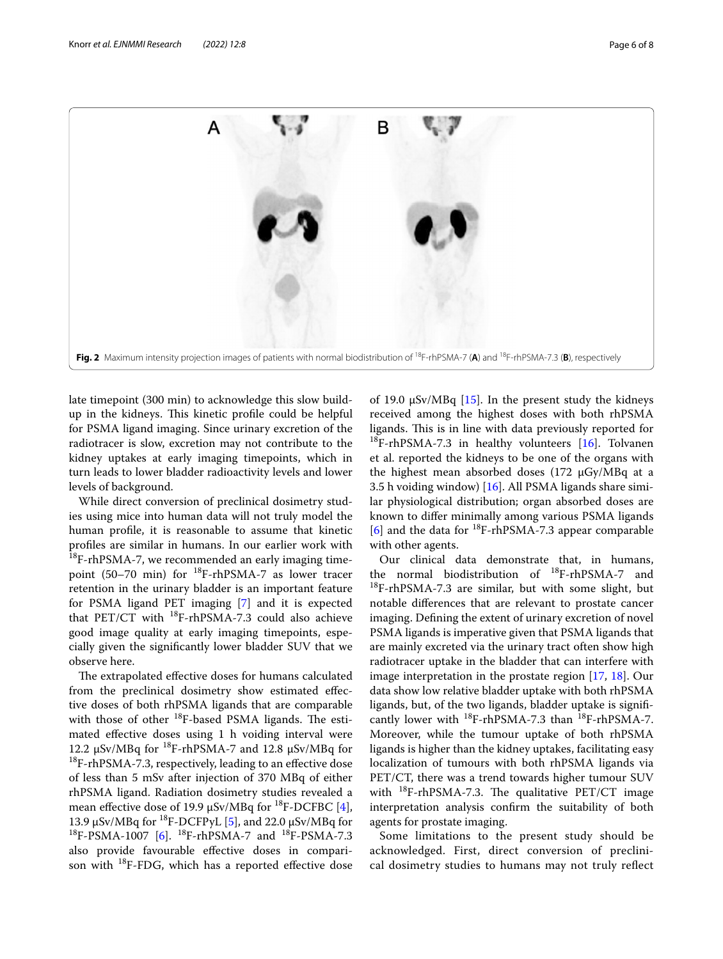

<span id="page-5-0"></span>late timepoint (300 min) to acknowledge this slow buildup in the kidneys. This kinetic profile could be helpful for PSMA ligand imaging. Since urinary excretion of the radiotracer is slow, excretion may not contribute to the kidney uptakes at early imaging timepoints, which in turn leads to lower bladder radioactivity levels and lower levels of background.

While direct conversion of preclinical dosimetry studies using mice into human data will not truly model the human profle, it is reasonable to assume that kinetic profles are similar in humans. In our earlier work with <sup>18</sup>F-rhPSMA-7, we recommended an early imaging timepoint (50–70 min) for <sup>18</sup>F-rhPSMA-7 as lower tracer retention in the urinary bladder is an important feature for PSMA ligand PET imaging [[7\]](#page-7-4) and it is expected that PET/CT with  $^{18}F$ -rhPSMA-7.3 could also achieve good image quality at early imaging timepoints, especially given the signifcantly lower bladder SUV that we observe here.

The extrapolated effective doses for humans calculated from the preclinical dosimetry show estimated efective doses of both rhPSMA ligands that are comparable with those of other  $^{18}$ F-based PSMA ligands. The estimated efective doses using 1 h voiding interval were 12.2  $\mu$ Sv/MBq for <sup>18</sup>F-rhPSMA-7 and 12.8  $\mu$ Sv/MBq for <sup>18</sup>F-rhPSMA-7.3, respectively, leading to an effective dose of less than 5 mSv after injection of 370 MBq of either rhPSMA ligand. Radiation dosimetry studies revealed a mean effective dose of 19.9  $\mu$ Sv/MBq for <sup>18</sup>F-DCFBC [\[4](#page-7-1)], 13.9  $\mu$ Sv/MBq for <sup>18</sup>F-DCFPyL [[5\]](#page-7-2), and 22.0  $\mu$ Sv/MBq for  $^{18}$ F-PSMA-1007 [[6\]](#page-7-3).  $^{18}$ F-rhPSMA-7 and  $^{18}$ F-PSMA-7.3 also provide favourable efective doses in comparison with  $^{18}$ F-FDG, which has a reported effective dose

of 19.0  $\mu$ Sv/MBq [[15\]](#page-7-12). In the present study the kidneys received among the highest doses with both rhPSMA ligands. This is in line with data previously reported for  $^{18}$ F-rhPSMA-7.3 in healthy volunteers [[16\]](#page-7-13). Tolvanen et al. reported the kidneys to be one of the organs with the highest mean absorbed doses  $(172 \mu Gy/MBq$  at a 3.5 h voiding window) [[16\]](#page-7-13). All PSMA ligands share similar physiological distribution; organ absorbed doses are known to difer minimally among various PSMA ligands  $[6]$  $[6]$  and the data for <sup>18</sup>F-rhPSMA-7.3 appear comparable with other agents.

Our clinical data demonstrate that, in humans, the normal biodistribution of 18F-rhPSMA-7 and  $18F$ -rhPSMA-7.3 are similar, but with some slight, but notable diferences that are relevant to prostate cancer imaging. Defning the extent of urinary excretion of novel PSMA ligands is imperative given that PSMA ligands that are mainly excreted via the urinary tract often show high radiotracer uptake in the bladder that can interfere with image interpretation in the prostate region [\[17](#page-7-14), [18](#page-7-15)]. Our data show low relative bladder uptake with both rhPSMA ligands, but, of the two ligands, bladder uptake is signifcantly lower with  $^{18}F$ -rhPSMA-7.3 than  $^{18}F$ -rhPSMA-7. Moreover, while the tumour uptake of both rhPSMA ligands is higher than the kidney uptakes, facilitating easy localization of tumours with both rhPSMA ligands via PET/CT, there was a trend towards higher tumour SUV with  $^{18}$ F-rhPSMA-7.3. The qualitative PET/CT image interpretation analysis confrm the suitability of both agents for prostate imaging.

Some limitations to the present study should be acknowledged. First, direct conversion of preclinical dosimetry studies to humans may not truly refect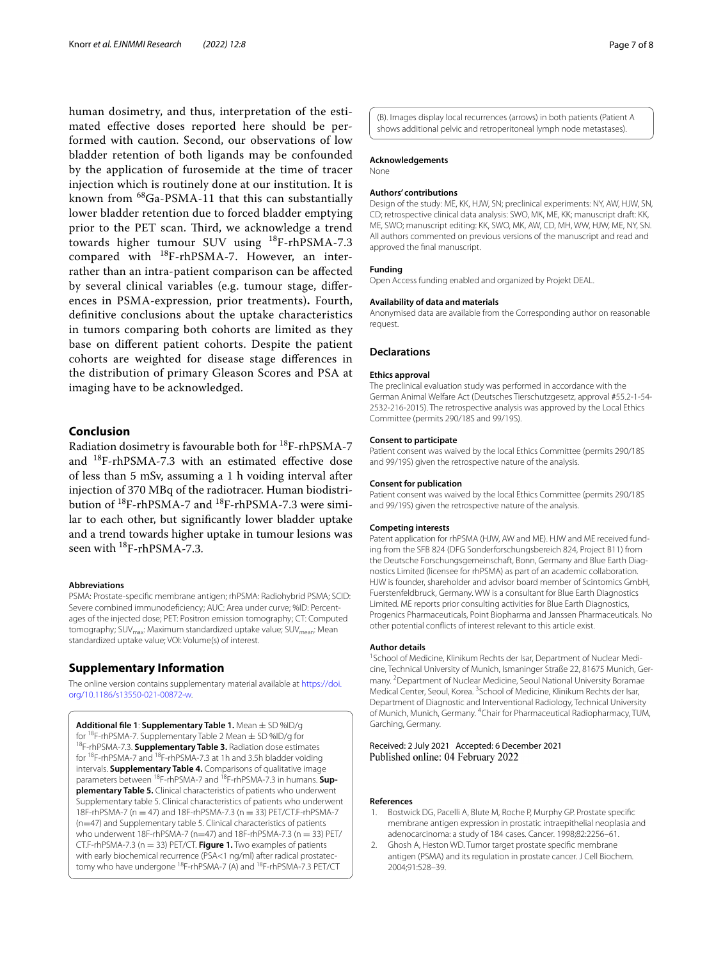human dosimetry, and thus, interpretation of the estimated efective doses reported here should be performed with caution. Second, our observations of low bladder retention of both ligands may be confounded by the application of furosemide at the time of tracer injection which is routinely done at our institution. It is known from 68Ga-PSMA-11 that this can substantially lower bladder retention due to forced bladder emptying prior to the PET scan. Third, we acknowledge a trend towards higher tumour SUV using 18F-rhPSMA-7.3 compared with 18F-rhPSMA-7. However, an interrather than an intra-patient comparison can be afected by several clinical variables (e.g. tumour stage, diferences in PSMA-expression, prior treatments)**.** Fourth, defnitive conclusions about the uptake characteristics in tumors comparing both cohorts are limited as they base on diferent patient cohorts. Despite the patient cohorts are weighted for disease stage diferences in the distribution of primary Gleason Scores and PSA at imaging have to be acknowledged.

## **Conclusion**

Radiation dosimetry is favourable both for 18F-rhPSMA-7 and 18F-rhPSMA-7.3 with an estimated efective dose of less than 5 mSv, assuming a 1 h voiding interval after injection of 370 MBq of the radiotracer. Human biodistribution of 18F-rhPSMA-7 and 18F-rhPSMA-7.3 were similar to each other, but signifcantly lower bladder uptake and a trend towards higher uptake in tumour lesions was seen with <sup>18</sup>F-rhPSMA-7.3.

#### **Abbreviations**

PSMA: Prostate-specifc membrane antigen; rhPSMA: Radiohybrid PSMA; SCID: Severe combined immunodeficiency; AUC: Area under curve; %ID: Percentages of the injected dose; PET: Positron emission tomography; CT: Computed tomography; SUV<sub>max</sub>: Maximum standardized uptake value; SUV<sub>mean</sub>: Mean standardized uptake value; VOI: Volume(s) of interest.

## **Supplementary Information**

The online version contains supplementary material available at [https://doi.](https://doi.org/10.1186/s13550-021-00872-w) [org/10.1186/s13550-021-00872-w.](https://doi.org/10.1186/s13550-021-00872-w)

<span id="page-6-2"></span>**Additional file 1: Supplementary Table 1.** Mean  $\pm$  SD %ID/g for <sup>18</sup>F-rhPSMA-7. Supplementary Table 2 Mean  $\pm$  SD %ID/g for 18F-rhPSMA-7.3. **Supplementary Table 3.** Radiation dose estimates for 18F-rhPSMA-7 and 18F-rhPSMA-7.3 at 1h and 3.5h bladder voiding intervals. **Supplementary Table 4.** Comparisons of qualitative image parameters between <sup>18</sup>F-rhPSMA-7 and <sup>18</sup>F-rhPSMA-7.3 in humans. **Supplementary Table 5.** Clinical characteristics of patients who underwent Supplementary table 5. Clinical characteristics of patients who underwent 18F-rhPSMA-7 (n = 47) and 18F-rhPSMA-7.3 (n = 33) PET/CT.F-rhPSMA-7 (n=47) and Supplementary table 5. Clinical characteristics of patients who underwent 18F-rhPSMA-7 (n=47) and 18F-rhPSMA-7.3 (n = 33) PET/ CT.F-rhPSMA-7.3 (n = 33) PET/CT. **Figure 1.** Two examples of patients with early biochemical recurrence (PSA<1 ng/ml) after radical prostatectomy who have undergone 18F-rhPSMA-7 (A) and 18F-rhPSMA-7.3 PET/CT

(B). Images display local recurrences (arrows) in both patients (Patient A shows additional pelvic and retroperitoneal lymph node metastases).

#### **Acknowledgements**

None

### **Authors' contributions**

Design of the study: ME, KK, HJW, SN; preclinical experiments: NY, AW, HJW, SN, CD; retrospective clinical data analysis: SWO, MK, ME, KK; manuscript draft: KK, ME, SWO; manuscript editing: KK, SWO, MK, AW, CD, MH, WW, HJW, ME, NY, SN. All authors commented on previous versions of the manuscript and read and approved the fnal manuscript.

#### **Funding**

Open Access funding enabled and organized by Projekt DEAL.

#### **Availability of data and materials**

Anonymised data are available from the Corresponding author on reasonable request.

#### **Declarations**

#### **Ethics approval**

The preclinical evaluation study was performed in accordance with the German Animal Welfare Act (Deutsches Tierschutzgesetz, approval #55.2-1-54-2532-216-2015). The retrospective analysis was approved by the Local Ethics Committee (permits 290/18S and 99/19S).

#### **Consent to participate**

Patient consent was waived by the local Ethics Committee (permits 290/18S and 99/19S) given the retrospective nature of the analysis.

#### **Consent for publication**

Patient consent was waived by the local Ethics Committee (permits 290/18S and 99/19S) given the retrospective nature of the analysis.

#### **Competing interests**

Patent application for rhPSMA (HJW, AW and ME). HJW and ME received funding from the SFB 824 (DFG Sonderforschungsbereich 824, Project B11) from the Deutsche Forschungsgemeinschaft, Bonn, Germany and Blue Earth Diagnostics Limited (licensee for rhPSMA) as part of an academic collaboration. HJW is founder, shareholder and advisor board member of Scintomics GmbH, Fuerstenfeldbruck, Germany. WW is a consultant for Blue Earth Diagnostics Limited. ME reports prior consulting activities for Blue Earth Diagnostics, Progenics Pharmaceuticals, Point Biopharma and Janssen Pharmaceuticals. No other potential conficts of interest relevant to this article exist.

#### **Author details**

<sup>1</sup> School of Medicine, Klinikum Rechts der Isar, Department of Nuclear Medicine, Technical University of Munich, Ismaninger Straße 22, 81675 Munich, Germany. <sup>2</sup> Department of Nuclear Medicine, Seoul National University Boramae Medical Center, Seoul, Korea. <sup>3</sup> School of Medicine, Klinikum Rechts der Isar, Department of Diagnostic and Interventional Radiology, Technical University of Munich, Munich, Germany. <sup>4</sup>Chair for Pharmaceutical Radiopharmacy, TUM, Garching, Germany.

Received: 2 July 2021 Accepted: 6 December 2021 Published online: 04 February 2022

#### **References**

- <span id="page-6-0"></span>1. Bostwick DG, Pacelli A, Blute M, Roche P, Murphy GP. Prostate specifc membrane antigen expression in prostatic intraepithelial neoplasia and adenocarcinoma: a study of 184 cases. Cancer. 1998;82:2256–61.
- <span id="page-6-1"></span>2. Ghosh A, Heston WD. Tumor target prostate specifc membrane antigen (PSMA) and its regulation in prostate cancer. J Cell Biochem. 2004;91:528–39.